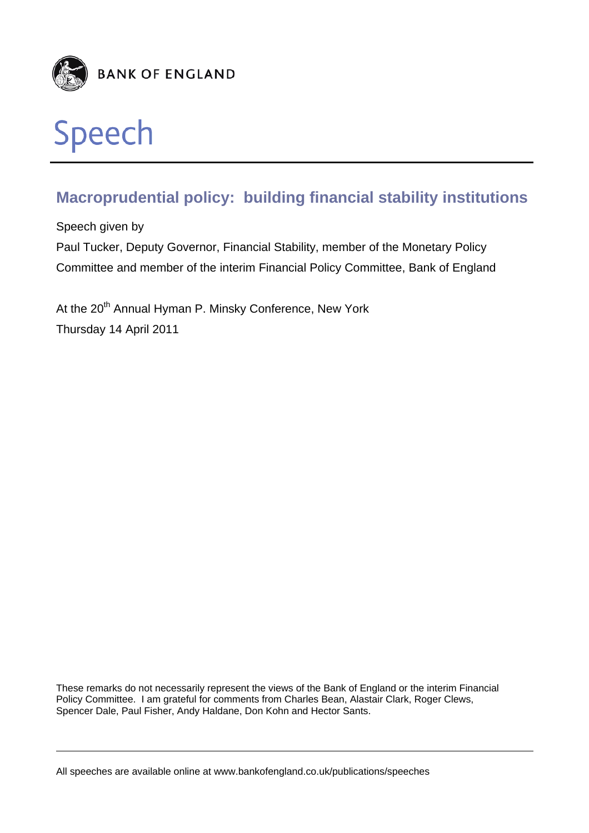

# Speech

# **Macroprudential policy: building financial stability institutions**

Speech given by

Paul Tucker, Deputy Governor, Financial Stability, member of the Monetary Policy Committee and member of the interim Financial Policy Committee, Bank of England

At the 20<sup>th</sup> Annual Hyman P. Minsky Conference, New York Thursday 14 April 2011

These remarks do not necessarily represent the views of the Bank of England or the interim Financial Policy Committee. I am grateful for comments from Charles Bean, Alastair Clark, Roger Clews, Spencer Dale, Paul Fisher, Andy Haldane, Don Kohn and Hector Sants.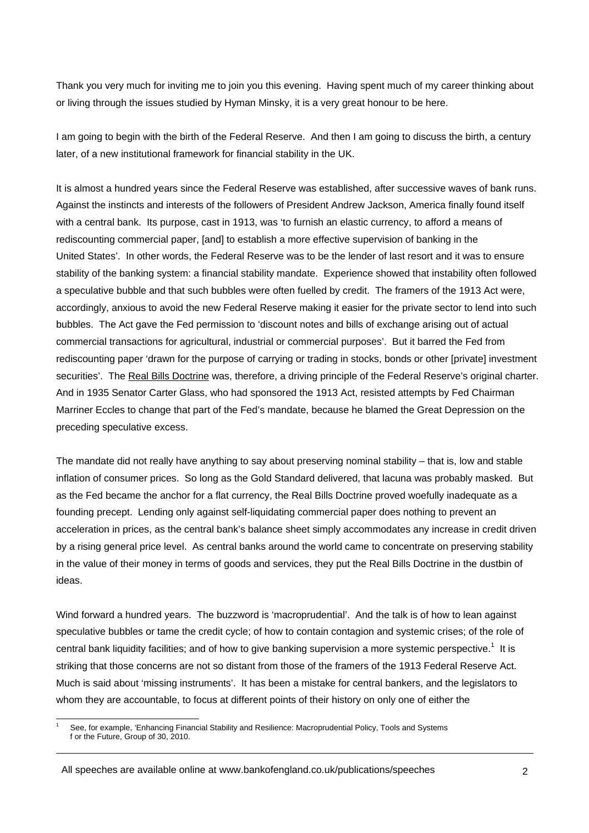Thank you very much for inviting me to join you this evening. Having spent much of my career thinking about or living through the issues studied by Hyman Minsky, it is a very great honour to be here.

I am going to begin with the birth of the Federal Reserve. And then I am going to discuss the birth, a century later, of a new institutional framework for financial stability in the UK.

It is almost a hundred years since the Federal Reserve was established, after successive waves of bank runs. Against the instincts and interests of the followers of President Andrew Jackson, America finally found itself with a central bank. Its purpose, cast in 1913, was 'to furnish an elastic currency, to afford a means of rediscounting commercial paper, [and] to establish a more effective supervision of banking in the United States'. In other words, the Federal Reserve was to be the lender of last resort and it was to ensure stability of the banking system: a financial stability mandate. Experience showed that instability often followed a speculative bubble and that such bubbles were often fuelled by credit. The framers of the 1913 Act were, accordingly, anxious to avoid the new Federal Reserve making it easier for the private sector to lend into such bubbles. The Act gave the Fed permission to 'discount notes and bills of exchange arising out of actual commercial transactions for agricultural, industrial or commercial purposes'. But it barred the Fed from rediscounting paper 'drawn for the purpose of carrying or trading in stocks, bonds or other [private] investment securities'. The Real Bills Doctrine was, therefore, a driving principle of the Federal Reserve's original charter. And in 1935 Senator Carter Glass, who had sponsored the 1913 Act, resisted attempts by Fed Chairman Marriner Eccles to change that part of the Fed's mandate, because he blamed the Great Depression on the preceding speculative excess.

The mandate did not really have anything to say about preserving nominal stability – that is, low and stable inflation of consumer prices. So long as the Gold Standard delivered, that lacuna was probably masked. But as the Fed became the anchor for a flat currency, the Real Bills Doctrine proved woefully inadequate as a founding precept. Lending only against self-liquidating commercial paper does nothing to prevent an acceleration in prices, as the central bank's balance sheet simply accommodates any increase in credit driven by a rising general price level. As central banks around the world came to concentrate on preserving stability in the value of their money in terms of goods and services, they put the Real Bills Doctrine in the dustbin of ideas.

Wind forward a hundred years. The buzzword is 'macroprudential'. And the talk is of how to lean against speculative bubbles or tame the credit cycle; of how to contain contagion and systemic crises; of the role of central bank liquidity facilities; and of how to give banking supervision a more systemic perspective.<sup>1</sup> It is striking that those concerns are not so distant from those of the framers of the 1913 Federal Reserve Act. Much is said about 'missing instruments'. It has been a mistake for central bankers, and the legislators to whom they are accountable, to focus at different points of their history on only one of either the

l 1 See, for example, 'Enhancing Financial Stability and Resilience: Macroprudential Policy, Tools and Systems f or the Future, Group of 30, 2010.

All speeches are available online at www.bankofengland.co.uk/publications/speeches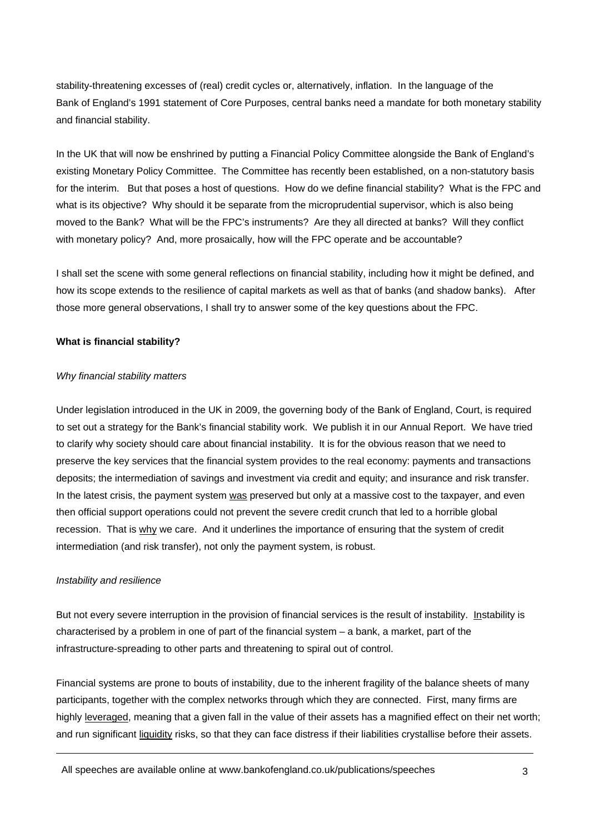stability-threatening excesses of (real) credit cycles or, alternatively, inflation. In the language of the Bank of England's 1991 statement of Core Purposes, central banks need a mandate for both monetary stability and financial stability.

In the UK that will now be enshrined by putting a Financial Policy Committee alongside the Bank of England's existing Monetary Policy Committee. The Committee has recently been established, on a non-statutory basis for the interim. But that poses a host of questions. How do we define financial stability? What is the FPC and what is its objective? Why should it be separate from the microprudential supervisor, which is also being moved to the Bank? What will be the FPC's instruments? Are they all directed at banks? Will they conflict with monetary policy? And, more prosaically, how will the FPC operate and be accountable?

I shall set the scene with some general reflections on financial stability, including how it might be defined, and how its scope extends to the resilience of capital markets as well as that of banks (and shadow banks). After those more general observations, I shall try to answer some of the key questions about the FPC.

# **What is financial stability?**

#### *Why financial stability matters*

Under legislation introduced in the UK in 2009, the governing body of the Bank of England, Court, is required to set out a strategy for the Bank's financial stability work. We publish it in our Annual Report. We have tried to clarify why society should care about financial instability. It is for the obvious reason that we need to preserve the key services that the financial system provides to the real economy: payments and transactions deposits; the intermediation of savings and investment via credit and equity; and insurance and risk transfer. In the latest crisis, the payment system was preserved but only at a massive cost to the taxpayer, and even then official support operations could not prevent the severe credit crunch that led to a horrible global recession. That is why we care. And it underlines the importance of ensuring that the system of credit intermediation (and risk transfer), not only the payment system, is robust.

#### *Instability and resilience*

But not every severe interruption in the provision of financial services is the result of instability. Instability is characterised by a problem in one of part of the financial system – a bank, a market, part of the infrastructure-spreading to other parts and threatening to spiral out of control.

Financial systems are prone to bouts of instability, due to the inherent fragility of the balance sheets of many participants, together with the complex networks through which they are connected. First, many firms are highly leveraged, meaning that a given fall in the value of their assets has a magnified effect on their net worth; and run significant liquidity risks, so that they can face distress if their liabilities crystallise before their assets.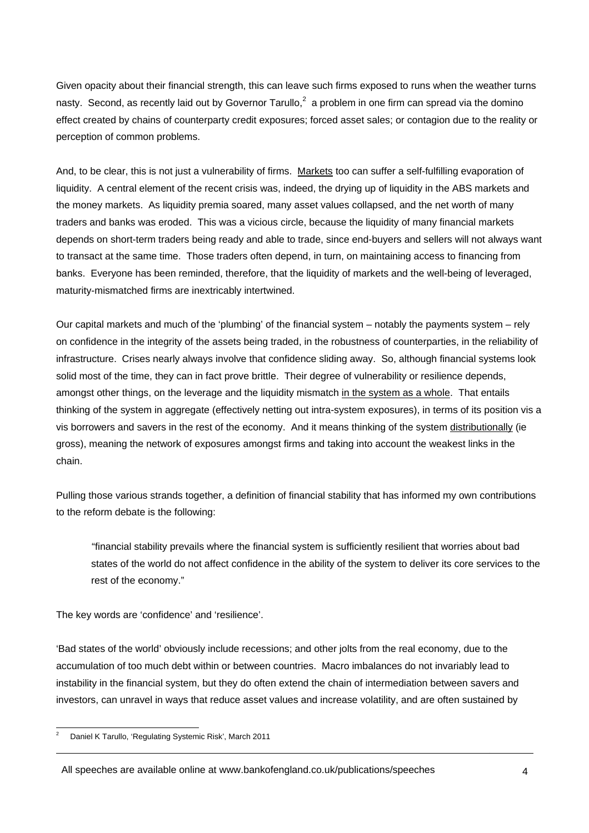Given opacity about their financial strength, this can leave such firms exposed to runs when the weather turns nasty. Second, as recently laid out by Governor Tarullo,<sup>2</sup> a problem in one firm can spread via the domino effect created by chains of counterparty credit exposures; forced asset sales; or contagion due to the reality or perception of common problems.

And, to be clear, this is not just a vulnerability of firms. Markets too can suffer a self-fulfilling evaporation of liquidity. A central element of the recent crisis was, indeed, the drying up of liquidity in the ABS markets and the money markets. As liquidity premia soared, many asset values collapsed, and the net worth of many traders and banks was eroded. This was a vicious circle, because the liquidity of many financial markets depends on short-term traders being ready and able to trade, since end-buyers and sellers will not always want to transact at the same time. Those traders often depend, in turn, on maintaining access to financing from banks. Everyone has been reminded, therefore, that the liquidity of markets and the well-being of leveraged, maturity-mismatched firms are inextricably intertwined.

Our capital markets and much of the 'plumbing' of the financial system – notably the payments system – rely on confidence in the integrity of the assets being traded, in the robustness of counterparties, in the reliability of infrastructure. Crises nearly always involve that confidence sliding away. So, although financial systems look solid most of the time, they can in fact prove brittle. Their degree of vulnerability or resilience depends, amongst other things, on the leverage and the liquidity mismatch in the system as a whole. That entails thinking of the system in aggregate (effectively netting out intra-system exposures), in terms of its position vis a vis borrowers and savers in the rest of the economy. And it means thinking of the system distributionally (ie gross), meaning the network of exposures amongst firms and taking into account the weakest links in the chain.

Pulling those various strands together, a definition of financial stability that has informed my own contributions to the reform debate is the following:

"financial stability prevails where the financial system is sufficiently resilient that worries about bad states of the world do not affect confidence in the ability of the system to deliver its core services to the rest of the economy."

The key words are 'confidence' and 'resilience'.

'Bad states of the world' obviously include recessions; and other jolts from the real economy, due to the accumulation of too much debt within or between countries. Macro imbalances do not invariably lead to instability in the financial system, but they do often extend the chain of intermediation between savers and investors, can unravel in ways that reduce asset values and increase volatility, and are often sustained by

 $\frac{1}{2}$ Daniel K Tarullo, 'Regulating Systemic Risk', March 2011

All speeches are available online at www.bankofengland.co.uk/publications/speeches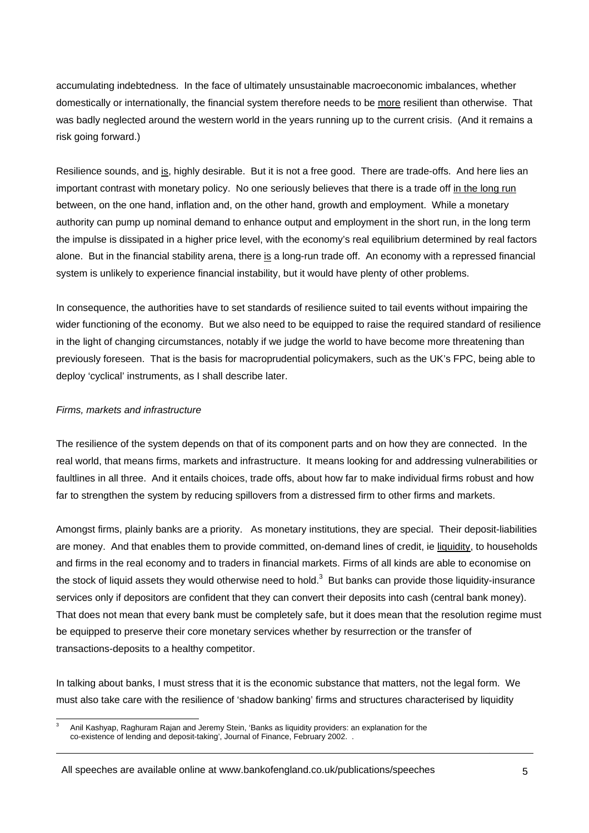accumulating indebtedness. In the face of ultimately unsustainable macroeconomic imbalances, whether domestically or internationally, the financial system therefore needs to be more resilient than otherwise. That was badly neglected around the western world in the years running up to the current crisis. (And it remains a risk going forward.)

Resilience sounds, and is, highly desirable. But it is not a free good. There are trade-offs. And here lies an important contrast with monetary policy. No one seriously believes that there is a trade off in the long run between, on the one hand, inflation and, on the other hand, growth and employment. While a monetary authority can pump up nominal demand to enhance output and employment in the short run, in the long term the impulse is dissipated in a higher price level, with the economy's real equilibrium determined by real factors alone. But in the financial stability arena, there is a long-run trade off. An economy with a repressed financial system is unlikely to experience financial instability, but it would have plenty of other problems.

In consequence, the authorities have to set standards of resilience suited to tail events without impairing the wider functioning of the economy. But we also need to be equipped to raise the required standard of resilience in the light of changing circumstances, notably if we judge the world to have become more threatening than previously foreseen. That is the basis for macroprudential policymakers, such as the UK's FPC, being able to deploy 'cyclical' instruments, as I shall describe later.

#### *Firms, markets and infrastructure*

The resilience of the system depends on that of its component parts and on how they are connected. In the real world, that means firms, markets and infrastructure. It means looking for and addressing vulnerabilities or faultlines in all three. And it entails choices, trade offs, about how far to make individual firms robust and how far to strengthen the system by reducing spillovers from a distressed firm to other firms and markets.

Amongst firms, plainly banks are a priority. As monetary institutions, they are special. Their deposit-liabilities are money. And that enables them to provide committed, on-demand lines of credit, ie liquidity, to households and firms in the real economy and to traders in financial markets. Firms of all kinds are able to economise on the stock of liquid assets they would otherwise need to hold.<sup>3</sup> But banks can provide those liquidity-insurance services only if depositors are confident that they can convert their deposits into cash (central bank money). That does not mean that every bank must be completely safe, but it does mean that the resolution regime must be equipped to preserve their core monetary services whether by resurrection or the transfer of transactions-deposits to a healthy competitor.

In talking about banks, I must stress that it is the economic substance that matters, not the legal form. We must also take care with the resilience of 'shadow banking' firms and structures characterised by liquidity

l 3 Anil Kashyap, Raghuram Rajan and Jeremy Stein, 'Banks as liquidity providers: an explanation for the co-existence of lending and deposit-taking', Journal of Finance, February 2002. .

All speeches are available online at www.bankofengland.co.uk/publications/speeches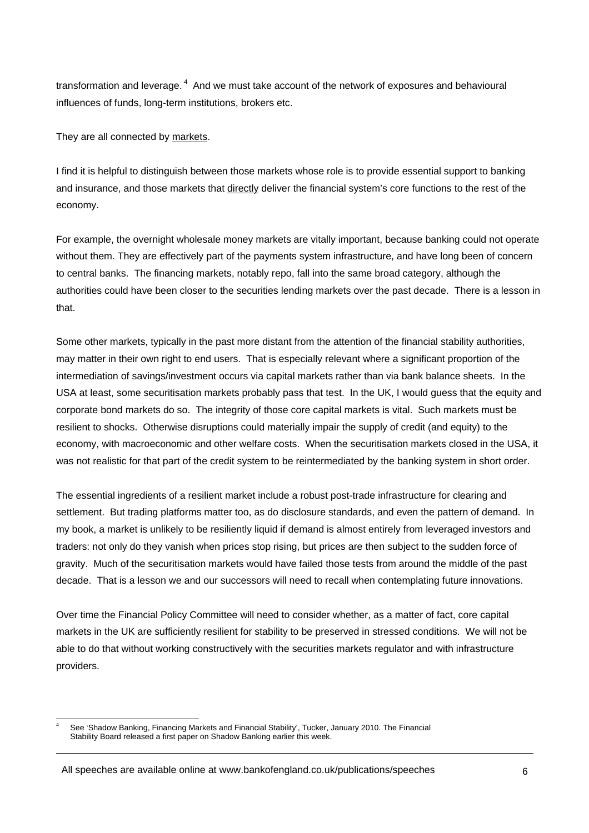transformation and leverage. 4 And we must take account of the network of exposures and behavioural influences of funds, long-term institutions, brokers etc.

They are all connected by markets.

I find it is helpful to distinguish between those markets whose role is to provide essential support to banking and insurance, and those markets that directly deliver the financial system's core functions to the rest of the economy.

For example, the overnight wholesale money markets are vitally important, because banking could not operate without them. They are effectively part of the payments system infrastructure, and have long been of concern to central banks. The financing markets, notably repo, fall into the same broad category, although the authorities could have been closer to the securities lending markets over the past decade. There is a lesson in that.

Some other markets, typically in the past more distant from the attention of the financial stability authorities, may matter in their own right to end users. That is especially relevant where a significant proportion of the intermediation of savings/investment occurs via capital markets rather than via bank balance sheets. In the USA at least, some securitisation markets probably pass that test. In the UK, I would guess that the equity and corporate bond markets do so. The integrity of those core capital markets is vital. Such markets must be resilient to shocks. Otherwise disruptions could materially impair the supply of credit (and equity) to the economy, with macroeconomic and other welfare costs. When the securitisation markets closed in the USA, it was not realistic for that part of the credit system to be reintermediated by the banking system in short order.

The essential ingredients of a resilient market include a robust post-trade infrastructure for clearing and settlement. But trading platforms matter too, as do disclosure standards, and even the pattern of demand. In my book, a market is unlikely to be resiliently liquid if demand is almost entirely from leveraged investors and traders: not only do they vanish when prices stop rising, but prices are then subject to the sudden force of gravity. Much of the securitisation markets would have failed those tests from around the middle of the past decade. That is a lesson we and our successors will need to recall when contemplating future innovations.

Over time the Financial Policy Committee will need to consider whether, as a matter of fact, core capital markets in the UK are sufficiently resilient for stability to be preserved in stressed conditions. We will not be able to do that without working constructively with the securities markets regulator and with infrastructure providers.

l 4 See 'Shadow Banking, Financing Markets and Financial Stability', Tucker, January 2010. The Financial Stability Board released a first paper on Shadow Banking earlier this week.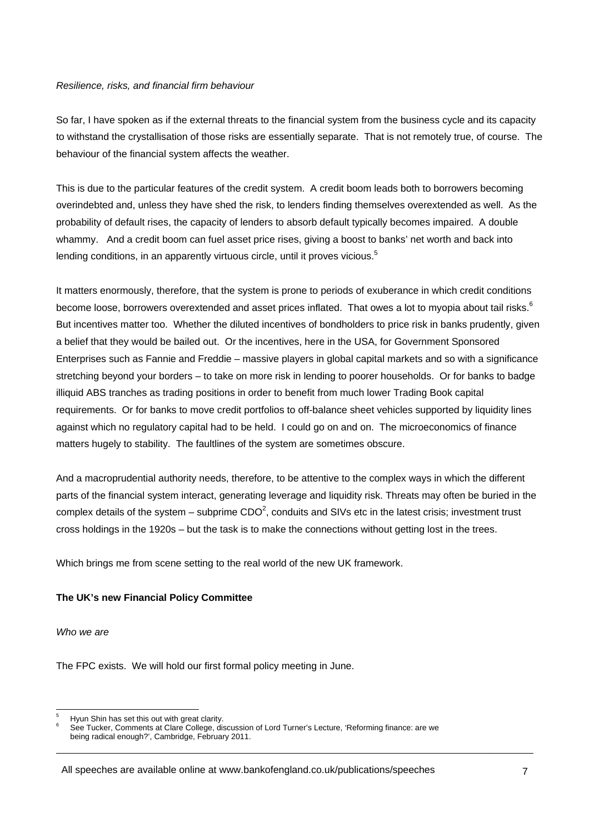#### *Resilience, risks, and financial firm behaviour*

So far, I have spoken as if the external threats to the financial system from the business cycle and its capacity to withstand the crystallisation of those risks are essentially separate. That is not remotely true, of course. The behaviour of the financial system affects the weather.

This is due to the particular features of the credit system. A credit boom leads both to borrowers becoming overindebted and, unless they have shed the risk, to lenders finding themselves overextended as well. As the probability of default rises, the capacity of lenders to absorb default typically becomes impaired. A double whammy. And a credit boom can fuel asset price rises, giving a boost to banks' net worth and back into lending conditions, in an apparently virtuous circle, until it proves vicious.<sup>5</sup>

It matters enormously, therefore, that the system is prone to periods of exuberance in which credit conditions become loose, borrowers overextended and asset prices inflated. That owes a lot to myopia about tail risks. $^6$ But incentives matter too. Whether the diluted incentives of bondholders to price risk in banks prudently, given a belief that they would be bailed out. Or the incentives, here in the USA, for Government Sponsored Enterprises such as Fannie and Freddie – massive players in global capital markets and so with a significance stretching beyond your borders – to take on more risk in lending to poorer households. Or for banks to badge illiquid ABS tranches as trading positions in order to benefit from much lower Trading Book capital requirements. Or for banks to move credit portfolios to off-balance sheet vehicles supported by liquidity lines against which no regulatory capital had to be held. I could go on and on. The microeconomics of finance matters hugely to stability. The faultlines of the system are sometimes obscure.

And a macroprudential authority needs, therefore, to be attentive to the complex ways in which the different parts of the financial system interact, generating leverage and liquidity risk. Threats may often be buried in the complex details of the system – subprime CDO<sup>2</sup>, conduits and SIVs etc in the latest crisis; investment trust cross holdings in the 1920s – but the task is to make the connections without getting lost in the trees.

Which brings me from scene setting to the real world of the new UK framework.

# **The UK's new Financial Policy Committee**

*Who we are* 

The FPC exists. We will hold our first formal policy meeting in June.

l 5 Hyun Shin has set this out with great clarity.

<sup>6</sup> See Tucker, Comments at Clare College, discussion of Lord Turner's Lecture, 'Reforming finance: are we being radical enough?', Cambridge, February 2011.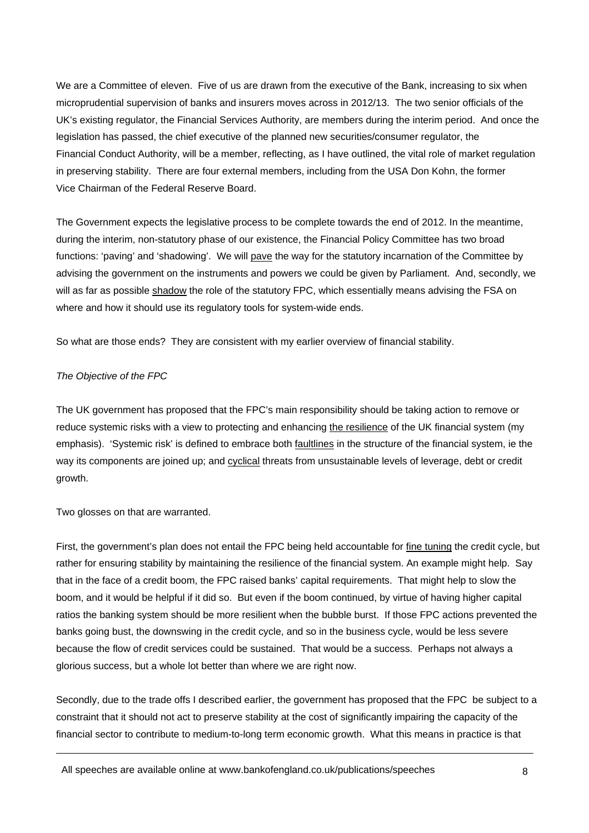We are a Committee of eleven. Five of us are drawn from the executive of the Bank, increasing to six when microprudential supervision of banks and insurers moves across in 2012/13. The two senior officials of the UK's existing regulator, the Financial Services Authority, are members during the interim period. And once the legislation has passed, the chief executive of the planned new securities/consumer regulator, the Financial Conduct Authority, will be a member, reflecting, as I have outlined, the vital role of market regulation in preserving stability. There are four external members, including from the USA Don Kohn, the former Vice Chairman of the Federal Reserve Board.

The Government expects the legislative process to be complete towards the end of 2012. In the meantime, during the interim, non-statutory phase of our existence, the Financial Policy Committee has two broad functions: 'paving' and 'shadowing'. We will pave the way for the statutory incarnation of the Committee by advising the government on the instruments and powers we could be given by Parliament. And, secondly, we will as far as possible shadow the role of the statutory FPC, which essentially means advising the FSA on where and how it should use its regulatory tools for system-wide ends.

So what are those ends? They are consistent with my earlier overview of financial stability.

# *The Objective of the FPC*

The UK government has proposed that the FPC's main responsibility should be taking action to remove or reduce systemic risks with a view to protecting and enhancing the resilience of the UK financial system (my emphasis). 'Systemic risk' is defined to embrace both faultlines in the structure of the financial system, ie the way its components are joined up; and cyclical threats from unsustainable levels of leverage, debt or credit growth.

Two glosses on that are warranted.

First, the government's plan does not entail the FPC being held accountable for fine tuning the credit cycle, but rather for ensuring stability by maintaining the resilience of the financial system. An example might help. Say that in the face of a credit boom, the FPC raised banks' capital requirements. That might help to slow the boom, and it would be helpful if it did so. But even if the boom continued, by virtue of having higher capital ratios the banking system should be more resilient when the bubble burst. If those FPC actions prevented the banks going bust, the downswing in the credit cycle, and so in the business cycle, would be less severe because the flow of credit services could be sustained. That would be a success. Perhaps not always a glorious success, but a whole lot better than where we are right now.

Secondly, due to the trade offs I described earlier, the government has proposed that the FPC be subject to a constraint that it should not act to preserve stability at the cost of significantly impairing the capacity of the financial sector to contribute to medium-to-long term economic growth. What this means in practice is that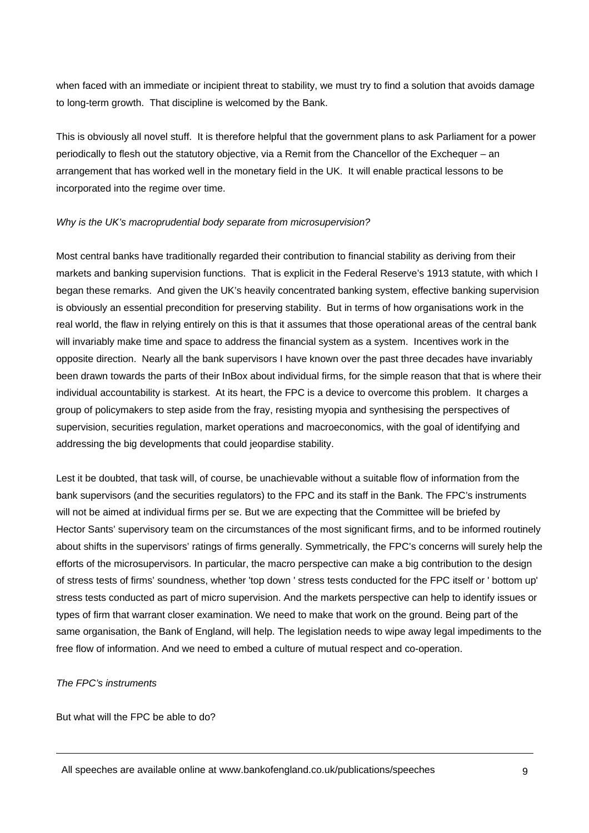when faced with an immediate or incipient threat to stability, we must try to find a solution that avoids damage to long-term growth. That discipline is welcomed by the Bank.

This is obviously all novel stuff. It is therefore helpful that the government plans to ask Parliament for a power periodically to flesh out the statutory objective, via a Remit from the Chancellor of the Exchequer – an arrangement that has worked well in the monetary field in the UK. It will enable practical lessons to be incorporated into the regime over time.

# *Why is the UK's macroprudential body separate from microsupervision?*

Most central banks have traditionally regarded their contribution to financial stability as deriving from their markets and banking supervision functions. That is explicit in the Federal Reserve's 1913 statute, with which I began these remarks. And given the UK's heavily concentrated banking system, effective banking supervision is obviously an essential precondition for preserving stability. But in terms of how organisations work in the real world, the flaw in relying entirely on this is that it assumes that those operational areas of the central bank will invariably make time and space to address the financial system as a system. Incentives work in the opposite direction. Nearly all the bank supervisors I have known over the past three decades have invariably been drawn towards the parts of their InBox about individual firms, for the simple reason that that is where their individual accountability is starkest. At its heart, the FPC is a device to overcome this problem. It charges a group of policymakers to step aside from the fray, resisting myopia and synthesising the perspectives of supervision, securities regulation, market operations and macroeconomics, with the goal of identifying and addressing the big developments that could jeopardise stability.

Lest it be doubted, that task will, of course, be unachievable without a suitable flow of information from the bank supervisors (and the securities regulators) to the FPC and its staff in the Bank. The FPC's instruments will not be aimed at individual firms per se. But we are expecting that the Committee will be briefed by Hector Sants' supervisory team on the circumstances of the most significant firms, and to be informed routinely about shifts in the supervisors' ratings of firms generally. Symmetrically, the FPC's concerns will surely help the efforts of the microsupervisors. In particular, the macro perspective can make a big contribution to the design of stress tests of firms' soundness, whether 'top down ' stress tests conducted for the FPC itself or ' bottom up' stress tests conducted as part of micro supervision. And the markets perspective can help to identify issues or types of firm that warrant closer examination. We need to make that work on the ground. Being part of the same organisation, the Bank of England, will help. The legislation needs to wipe away legal impediments to the free flow of information. And we need to embed a culture of mutual respect and co-operation.

#### *The FPC's instruments*

But what will the FPC be able to do?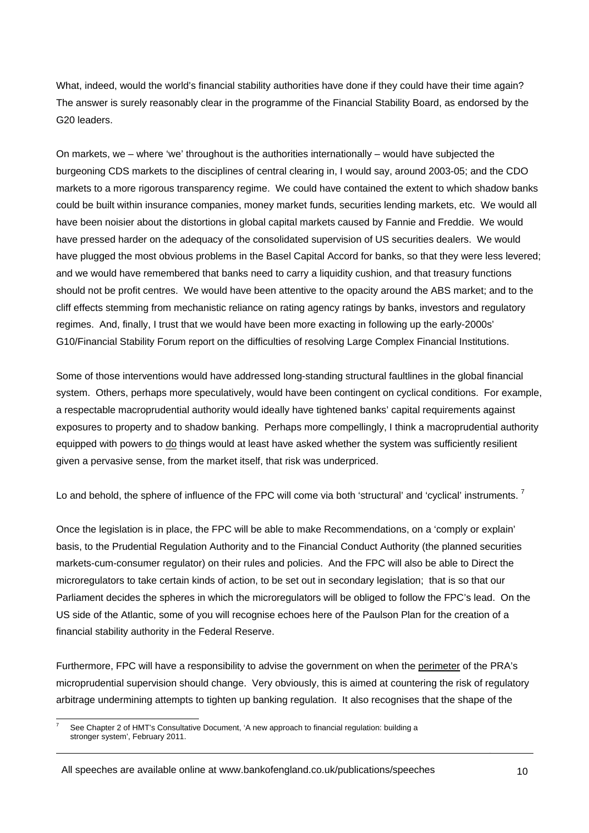What, indeed, would the world's financial stability authorities have done if they could have their time again? The answer is surely reasonably clear in the programme of the Financial Stability Board, as endorsed by the G20 leaders.

On markets, we – where 'we' throughout is the authorities internationally – would have subjected the burgeoning CDS markets to the disciplines of central clearing in, I would say, around 2003-05; and the CDO markets to a more rigorous transparency regime. We could have contained the extent to which shadow banks could be built within insurance companies, money market funds, securities lending markets, etc. We would all have been noisier about the distortions in global capital markets caused by Fannie and Freddie. We would have pressed harder on the adequacy of the consolidated supervision of US securities dealers. We would have plugged the most obvious problems in the Basel Capital Accord for banks, so that they were less levered; and we would have remembered that banks need to carry a liquidity cushion, and that treasury functions should not be profit centres. We would have been attentive to the opacity around the ABS market; and to the cliff effects stemming from mechanistic reliance on rating agency ratings by banks, investors and regulatory regimes. And, finally, I trust that we would have been more exacting in following up the early-2000s' G10/Financial Stability Forum report on the difficulties of resolving Large Complex Financial Institutions.

Some of those interventions would have addressed long-standing structural faultlines in the global financial system. Others, perhaps more speculatively, would have been contingent on cyclical conditions. For example, a respectable macroprudential authority would ideally have tightened banks' capital requirements against exposures to property and to shadow banking. Perhaps more compellingly, I think a macroprudential authority equipped with powers to do things would at least have asked whether the system was sufficiently resilient given a pervasive sense, from the market itself, that risk was underpriced.

Lo and behold, the sphere of influence of the FPC will come via both 'structural' and 'cyclical' instruments.<sup>7</sup>

Once the legislation is in place, the FPC will be able to make Recommendations, on a 'comply or explain' basis, to the Prudential Regulation Authority and to the Financial Conduct Authority (the planned securities markets-cum-consumer regulator) on their rules and policies. And the FPC will also be able to Direct the microregulators to take certain kinds of action, to be set out in secondary legislation; that is so that our Parliament decides the spheres in which the microregulators will be obliged to follow the FPC's lead. On the US side of the Atlantic, some of you will recognise echoes here of the Paulson Plan for the creation of a financial stability authority in the Federal Reserve.

Furthermore, FPC will have a responsibility to advise the government on when the perimeter of the PRA's microprudential supervision should change. Very obviously, this is aimed at countering the risk of regulatory arbitrage undermining attempts to tighten up banking regulation. It also recognises that the shape of the

All speeches are available online at www.bankofengland.co.uk/publications/speeches

l 7 See Chapter 2 of HMT's Consultative Document, 'A new approach to financial regulation: building a stronger system', February 2011.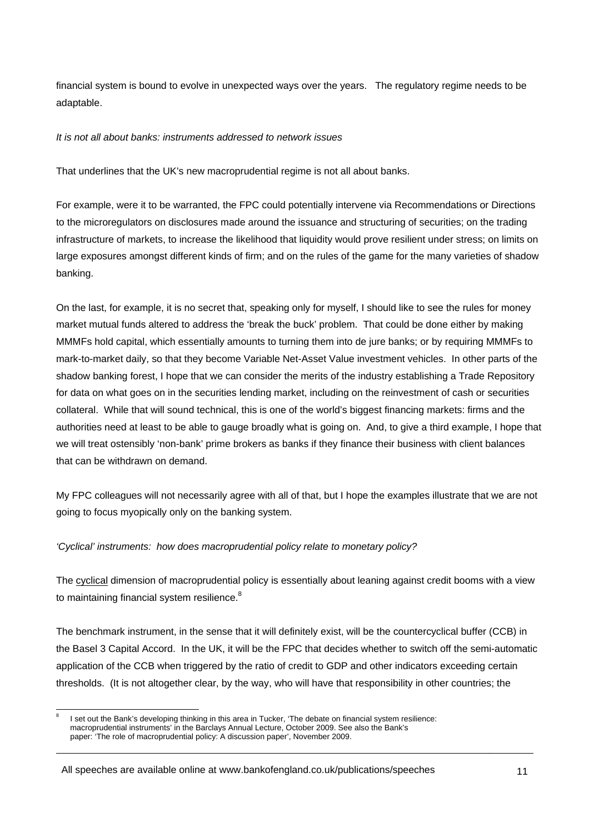financial system is bound to evolve in unexpected ways over the years. The regulatory regime needs to be adaptable.

#### *It is not all about banks: instruments addressed to network issues*

That underlines that the UK's new macroprudential regime is not all about banks.

For example, were it to be warranted, the FPC could potentially intervene via Recommendations or Directions to the microregulators on disclosures made around the issuance and structuring of securities; on the trading infrastructure of markets, to increase the likelihood that liquidity would prove resilient under stress; on limits on large exposures amongst different kinds of firm; and on the rules of the game for the many varieties of shadow banking.

On the last, for example, it is no secret that, speaking only for myself, I should like to see the rules for money market mutual funds altered to address the 'break the buck' problem. That could be done either by making MMMFs hold capital, which essentially amounts to turning them into de jure banks; or by requiring MMMFs to mark-to-market daily, so that they become Variable Net-Asset Value investment vehicles. In other parts of the shadow banking forest, I hope that we can consider the merits of the industry establishing a Trade Repository for data on what goes on in the securities lending market, including on the reinvestment of cash or securities collateral. While that will sound technical, this is one of the world's biggest financing markets: firms and the authorities need at least to be able to gauge broadly what is going on. And, to give a third example, I hope that we will treat ostensibly 'non-bank' prime brokers as banks if they finance their business with client balances that can be withdrawn on demand.

My FPC colleagues will not necessarily agree with all of that, but I hope the examples illustrate that we are not going to focus myopically only on the banking system.

# *'Cyclical' instruments: how does macroprudential policy relate to monetary policy?*

The cyclical dimension of macroprudential policy is essentially about leaning against credit booms with a view to maintaining financial system resilience.<sup>8</sup>

The benchmark instrument, in the sense that it will definitely exist, will be the countercyclical buffer (CCB) in the Basel 3 Capital Accord. In the UK, it will be the FPC that decides whether to switch off the semi-automatic application of the CCB when triggered by the ratio of credit to GDP and other indicators exceeding certain thresholds. (It is not altogether clear, by the way, who will have that responsibility in other countries; the

l 8 I set out the Bank's developing thinking in this area in Tucker, 'The debate on financial system resilience: macroprudential instruments' in the Barclays Annual Lecture, October 2009. See also the Bank's paper: 'The role of macroprudential policy: A discussion paper', November 2009.

All speeches are available online at www.bankofengland.co.uk/publications/speeches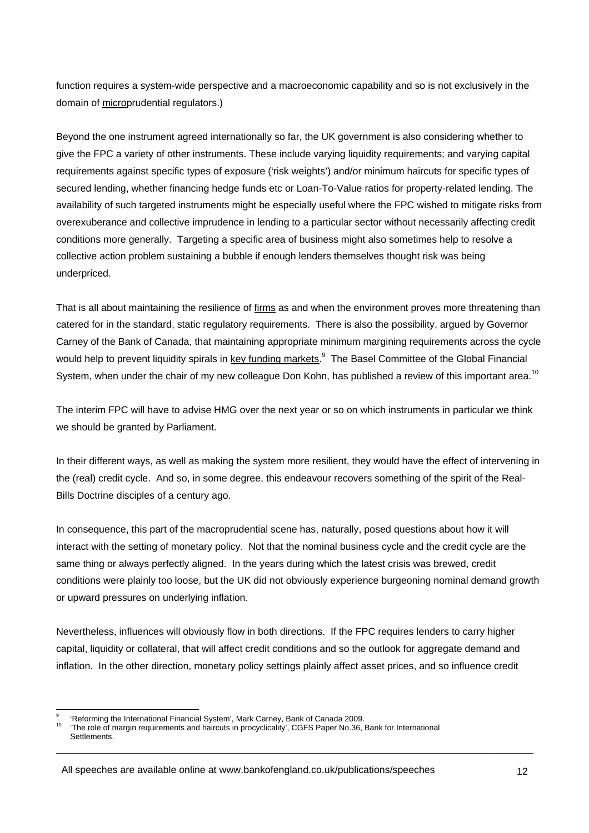function requires a system-wide perspective and a macroeconomic capability and so is not exclusively in the domain of microprudential regulators.)

Beyond the one instrument agreed internationally so far, the UK government is also considering whether to give the FPC a variety of other instruments. These include varying liquidity requirements; and varying capital requirements against specific types of exposure ('risk weights') and/or minimum haircuts for specific types of secured lending, whether financing hedge funds etc or Loan-To-Value ratios for property-related lending. The availability of such targeted instruments might be especially useful where the FPC wished to mitigate risks from overexuberance and collective imprudence in lending to a particular sector without necessarily affecting credit conditions more generally. Targeting a specific area of business might also sometimes help to resolve a collective action problem sustaining a bubble if enough lenders themselves thought risk was being underpriced.

That is all about maintaining the resilience of firms as and when the environment proves more threatening than catered for in the standard, static regulatory requirements. There is also the possibility, argued by Governor Carney of the Bank of Canada, that maintaining appropriate minimum margining requirements across the cycle would help to prevent liquidity spirals in key funding markets.<sup>9</sup> The Basel Committee of the Global Financial System, when under the chair of my new colleague Don Kohn, has published a review of this important area.<sup>10</sup>

The interim FPC will have to advise HMG over the next year or so on which instruments in particular we think we should be granted by Parliament.

In their different ways, as well as making the system more resilient, they would have the effect of intervening in the (real) credit cycle. And so, in some degree, this endeavour recovers something of the spirit of the Real-Bills Doctrine disciples of a century ago.

In consequence, this part of the macroprudential scene has, naturally, posed questions about how it will interact with the setting of monetary policy. Not that the nominal business cycle and the credit cycle are the same thing or always perfectly aligned. In the years during which the latest crisis was brewed, credit conditions were plainly too loose, but the UK did not obviously experience burgeoning nominal demand growth or upward pressures on underlying inflation.

Nevertheless, influences will obviously flow in both directions. If the FPC requires lenders to carry higher capital, liquidity or collateral, that will affect credit conditions and so the outlook for aggregate demand and inflation. In the other direction, monetary policy settings plainly affect asset prices, and so influence credit

l

All speeches are available online at www.bankofengland.co.uk/publications/speeches

<sup>9</sup>

<sup>&#</sup>x27;Reforming the International Financial System', Mark Carney, Bank of Canada 2009.<br>'The role of margin requirements and haircuts in procyclicality', CGFS Paper No.36, Bank for International Settlements.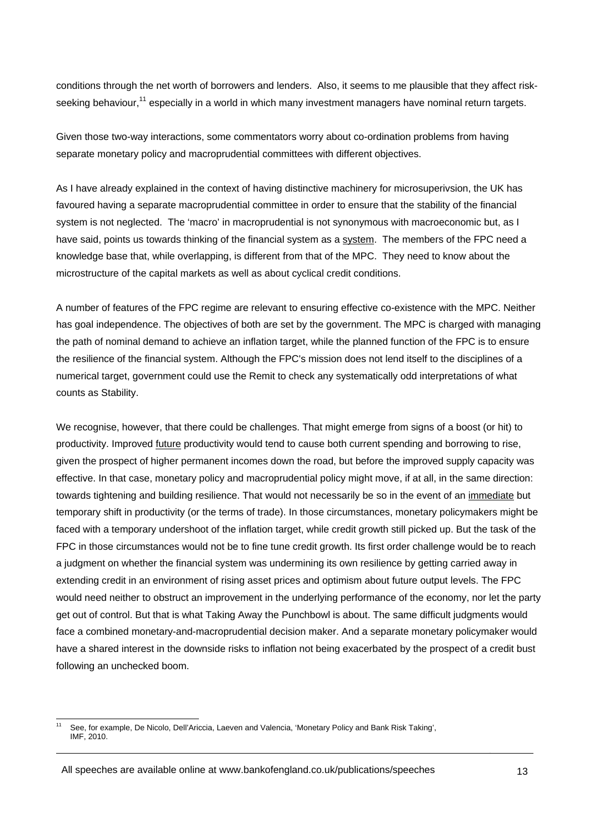conditions through the net worth of borrowers and lenders. Also, it seems to me plausible that they affect riskseeking behaviour,<sup>11</sup> especially in a world in which many investment managers have nominal return targets.

Given those two-way interactions, some commentators worry about co-ordination problems from having separate monetary policy and macroprudential committees with different objectives.

As I have already explained in the context of having distinctive machinery for microsuperivsion, the UK has favoured having a separate macroprudential committee in order to ensure that the stability of the financial system is not neglected. The 'macro' in macroprudential is not synonymous with macroeconomic but, as I have said, points us towards thinking of the financial system as a system. The members of the FPC need a knowledge base that, while overlapping, is different from that of the MPC. They need to know about the microstructure of the capital markets as well as about cyclical credit conditions.

A number of features of the FPC regime are relevant to ensuring effective co-existence with the MPC. Neither has goal independence. The objectives of both are set by the government. The MPC is charged with managing the path of nominal demand to achieve an inflation target, while the planned function of the FPC is to ensure the resilience of the financial system. Although the FPC's mission does not lend itself to the disciplines of a numerical target, government could use the Remit to check any systematically odd interpretations of what counts as Stability.

We recognise, however, that there could be challenges. That might emerge from signs of a boost (or hit) to productivity. Improved future productivity would tend to cause both current spending and borrowing to rise, given the prospect of higher permanent incomes down the road, but before the improved supply capacity was effective. In that case, monetary policy and macroprudential policy might move, if at all, in the same direction: towards tightening and building resilience. That would not necessarily be so in the event of an immediate but temporary shift in productivity (or the terms of trade). In those circumstances, monetary policymakers might be faced with a temporary undershoot of the inflation target, while credit growth still picked up. But the task of the FPC in those circumstances would not be to fine tune credit growth. Its first order challenge would be to reach a judgment on whether the financial system was undermining its own resilience by getting carried away in extending credit in an environment of rising asset prices and optimism about future output levels. The FPC would need neither to obstruct an improvement in the underlying performance of the economy, nor let the party get out of control. But that is what Taking Away the Punchbowl is about. The same difficult judgments would face a combined monetary-and-macroprudential decision maker. And a separate monetary policymaker would have a shared interest in the downside risks to inflation not being exacerbated by the prospect of a credit bust following an unchecked boom.

 $11$ 11 See, for example, De Nicolo, Dell'Ariccia, Laeven and Valencia, 'Monetary Policy and Bank Risk Taking', IMF, 2010.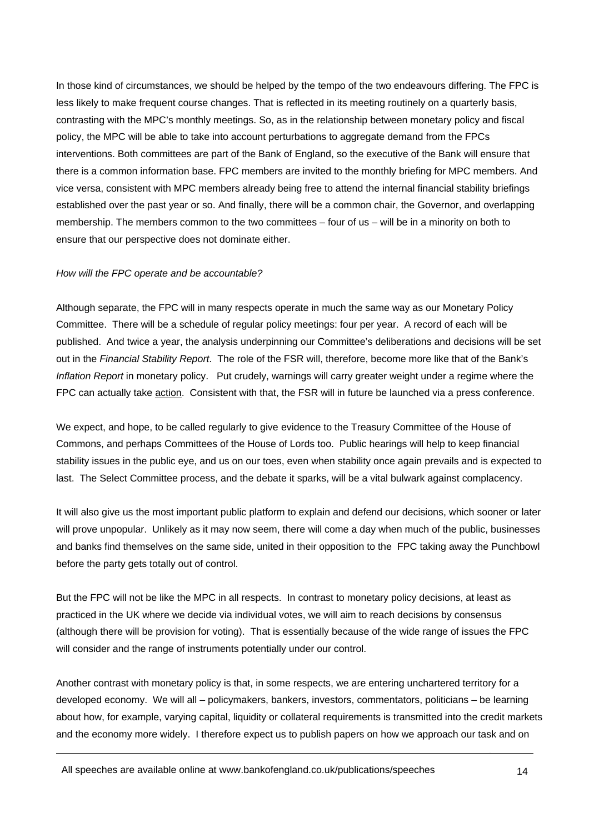In those kind of circumstances, we should be helped by the tempo of the two endeavours differing. The FPC is less likely to make frequent course changes. That is reflected in its meeting routinely on a quarterly basis, contrasting with the MPC's monthly meetings. So, as in the relationship between monetary policy and fiscal policy, the MPC will be able to take into account perturbations to aggregate demand from the FPCs interventions. Both committees are part of the Bank of England, so the executive of the Bank will ensure that there is a common information base. FPC members are invited to the monthly briefing for MPC members. And vice versa, consistent with MPC members already being free to attend the internal financial stability briefings established over the past year or so. And finally, there will be a common chair, the Governor, and overlapping membership. The members common to the two committees – four of us – will be in a minority on both to ensure that our perspective does not dominate either.

#### *How will the FPC operate and be accountable?*

Although separate, the FPC will in many respects operate in much the same way as our Monetary Policy Committee. There will be a schedule of regular policy meetings: four per year. A record of each will be published. And twice a year, the analysis underpinning our Committee's deliberations and decisions will be set out in the *Financial Stability Report*. The role of the FSR will, therefore, become more like that of the Bank's *Inflation Report* in monetary policy. Put crudely, warnings will carry greater weight under a regime where the FPC can actually take action. Consistent with that, the FSR will in future be launched via a press conference.

We expect, and hope, to be called regularly to give evidence to the Treasury Committee of the House of Commons, and perhaps Committees of the House of Lords too. Public hearings will help to keep financial stability issues in the public eye, and us on our toes, even when stability once again prevails and is expected to last. The Select Committee process, and the debate it sparks, will be a vital bulwark against complacency.

It will also give us the most important public platform to explain and defend our decisions, which sooner or later will prove unpopular. Unlikely as it may now seem, there will come a day when much of the public, businesses and banks find themselves on the same side, united in their opposition to the FPC taking away the Punchbowl before the party gets totally out of control.

But the FPC will not be like the MPC in all respects. In contrast to monetary policy decisions, at least as practiced in the UK where we decide via individual votes, we will aim to reach decisions by consensus (although there will be provision for voting). That is essentially because of the wide range of issues the FPC will consider and the range of instruments potentially under our control.

Another contrast with monetary policy is that, in some respects, we are entering unchartered territory for a developed economy. We will all – policymakers, bankers, investors, commentators, politicians – be learning about how, for example, varying capital, liquidity or collateral requirements is transmitted into the credit markets and the economy more widely. I therefore expect us to publish papers on how we approach our task and on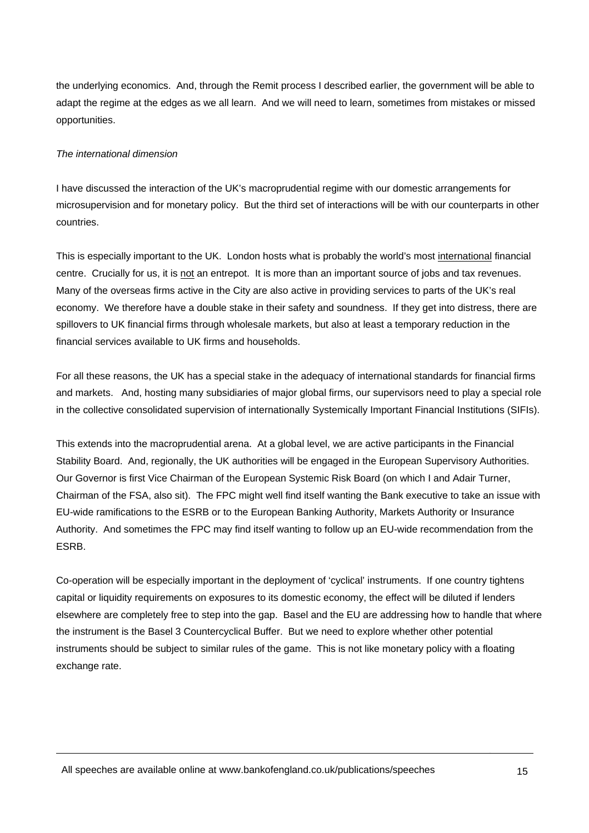the underlying economics. And, through the Remit process I described earlier, the government will be able to adapt the regime at the edges as we all learn. And we will need to learn, sometimes from mistakes or missed opportunities.

# *The international dimension*

I have discussed the interaction of the UK's macroprudential regime with our domestic arrangements for microsupervision and for monetary policy. But the third set of interactions will be with our counterparts in other countries.

This is especially important to the UK. London hosts what is probably the world's most international financial centre. Crucially for us, it is not an entrepot. It is more than an important source of jobs and tax revenues. Many of the overseas firms active in the City are also active in providing services to parts of the UK's real economy. We therefore have a double stake in their safety and soundness. If they get into distress, there are spillovers to UK financial firms through wholesale markets, but also at least a temporary reduction in the financial services available to UK firms and households.

For all these reasons, the UK has a special stake in the adequacy of international standards for financial firms and markets. And, hosting many subsidiaries of major global firms, our supervisors need to play a special role in the collective consolidated supervision of internationally Systemically Important Financial Institutions (SIFIs).

This extends into the macroprudential arena. At a global level, we are active participants in the Financial Stability Board. And, regionally, the UK authorities will be engaged in the European Supervisory Authorities. Our Governor is first Vice Chairman of the European Systemic Risk Board (on which I and Adair Turner, Chairman of the FSA, also sit). The FPC might well find itself wanting the Bank executive to take an issue with EU-wide ramifications to the ESRB or to the European Banking Authority, Markets Authority or Insurance Authority. And sometimes the FPC may find itself wanting to follow up an EU-wide recommendation from the ESRB.

Co-operation will be especially important in the deployment of 'cyclical' instruments. If one country tightens capital or liquidity requirements on exposures to its domestic economy, the effect will be diluted if lenders elsewhere are completely free to step into the gap. Basel and the EU are addressing how to handle that where the instrument is the Basel 3 Countercyclical Buffer. But we need to explore whether other potential instruments should be subject to similar rules of the game. This is not like monetary policy with a floating exchange rate.